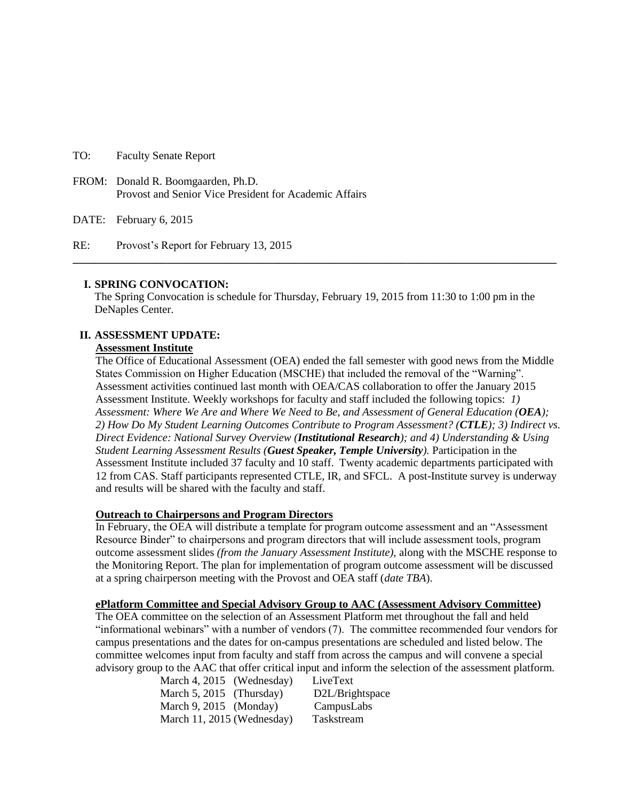TO: Faculty Senate Report

FROM: Donald R. Boomgaarden, Ph.D. Provost and Senior Vice President for Academic Affairs

DATE: February 6, 2015

RE: Provost's Report for February 13, 2015

#### **I. SPRING CONVOCATION:**

The Spring Convocation is schedule for Thursday, February 19, 2015 from 11:30 to 1:00 pm in the DeNaples Center.

**\_\_\_\_\_\_\_\_\_\_\_\_\_\_\_\_\_\_\_\_\_\_\_\_\_\_\_\_\_\_\_\_\_\_\_\_\_\_\_\_\_\_\_\_\_\_\_\_\_\_\_\_\_\_\_\_\_\_\_\_\_\_\_\_\_\_\_\_\_\_\_\_\_\_\_\_\_\_\_\_\_\_\_\_\_\_\_**

## **II. ASSESSMENT UPDATE:**

#### **Assessment Institute**

The Office of Educational Assessment (OEA) ended the fall semester with good news from the Middle States Commission on Higher Education (MSCHE) that included the removal of the "Warning". Assessment activities continued last month with OEA/CAS collaboration to offer the January 2015 Assessment Institute. Weekly workshops for faculty and staff included the following topics: *1) Assessment: Where We Are and Where We Need to Be, and Assessment of General Education (OEA); 2) How Do My Student Learning Outcomes Contribute to Program Assessment? (CTLE); 3) Indirect vs. Direct Evidence: National Survey Overview (Institutional Research); and 4) Understanding & Using Student Learning Assessment Results (Guest Speaker, Temple University).* Participation in the Assessment Institute included 37 faculty and 10 staff. Twenty academic departments participated with 12 from CAS. Staff participants represented CTLE, IR, and SFCL. A post-Institute survey is underway and results will be shared with the faculty and staff.

## **Outreach to Chairpersons and Program Directors**

In February, the OEA will distribute a template for program outcome assessment and an "Assessment Resource Binder" to chairpersons and program directors that will include assessment tools, program outcome assessment slides *(from the January Assessment Institute),* along with the MSCHE response to the Monitoring Report. The plan for implementation of program outcome assessment will be discussed at a spring chairperson meeting with the Provost and OEA staff (*date TBA*).

#### **ePlatform Committee and Special Advisory Group to AAC (Assessment Advisory Committee)**

The OEA committee on the selection of an Assessment Platform met throughout the fall and held "informational webinars" with a number of vendors (7). The committee recommended four vendors for campus presentations and the dates for on-campus presentations are scheduled and listed below. The committee welcomes input from faculty and staff from across the campus and will convene a special advisory group to the AAC that offer critical input and inform the selection of the assessment platform.

| March 4, 2015 (Wednesday)  | LiveText        |
|----------------------------|-----------------|
| March 5, 2015 (Thursday)   | D2L/Brightspace |
| March $9, 2015$ (Monday)   | CampusLabs      |
| March 11, 2015 (Wednesday) | Taskstream      |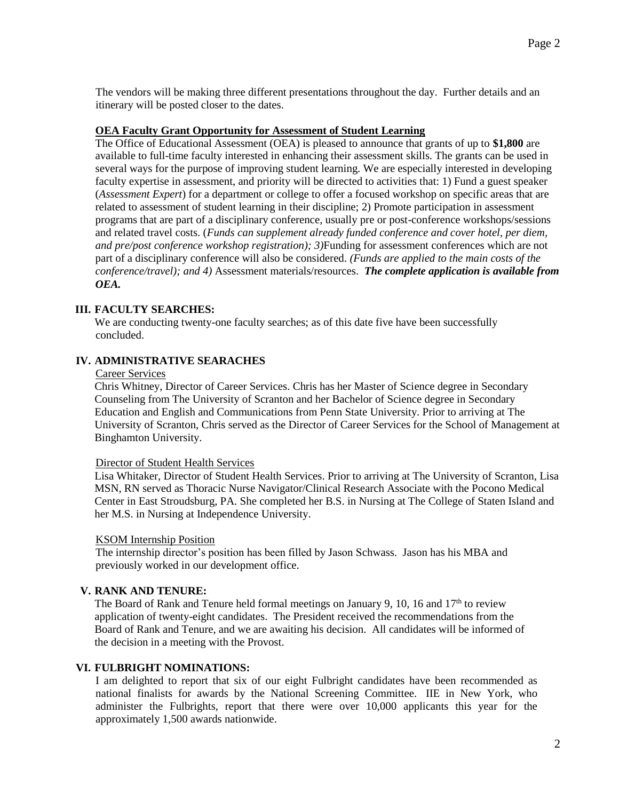The vendors will be making three different presentations throughout the day. Further details and an itinerary will be posted closer to the dates.

## **OEA Faculty Grant Opportunity for Assessment of Student Learning**

The Office of Educational Assessment (OEA) is pleased to announce that grants of up to **\$1,800** are available to full-time faculty interested in enhancing their assessment skills. The grants can be used in several ways for the purpose of improving student learning. We are especially interested in developing faculty expertise in assessment, and priority will be directed to activities that: 1) Fund a guest speaker (*Assessment Expert*) for a department or college to offer a focused workshop on specific areas that are related to assessment of student learning in their discipline; 2) Promote participation in assessment programs that are part of a disciplinary conference, usually pre or post-conference workshops/sessions and related travel costs. (*Funds can supplement already funded conference and cover hotel, per diem, and pre/post conference workshop registration); 3)*Funding for assessment conferences which are not part of a disciplinary conference will also be considered. *(Funds are applied to the main costs of the conference/travel); and 4)* Assessment materials/resources. *The complete application is available from OEA.*

# **III. FACULTY SEARCHES:**

We are conducting twenty-one faculty searches; as of this date five have been successfully concluded.

# **IV. ADMINISTRATIVE SEARACHES**

#### Career Services

Chris Whitney, Director of Career Services. Chris has her Master of Science degree in Secondary Counseling from The University of Scranton and her Bachelor of Science degree in Secondary Education and English and Communications from Penn State University. Prior to arriving at The University of Scranton, Chris served as the Director of Career Services for the School of Management at Binghamton University.

## Director of Student Health Services

Lisa Whitaker, Director of Student Health Services. Prior to arriving at The University of Scranton, Lisa MSN, RN served as Thoracic Nurse Navigator/Clinical Research Associate with the Pocono Medical Center in East Stroudsburg, PA. She completed her B.S. in Nursing at The College of Staten Island and her M.S. in Nursing at Independence University.

## KSOM Internship Position

The internship director's position has been filled by Jason Schwass. Jason has his MBA and previously worked in our development office.

## **V. RANK AND TENURE:**

The Board of Rank and Tenure held formal meetings on January 9, 10, 16 and  $17<sup>th</sup>$  to review application of twenty-eight candidates. The President received the recommendations from the Board of Rank and Tenure, and we are awaiting his decision. All candidates will be informed of the decision in a meeting with the Provost.

## **VI. FULBRIGHT NOMINATIONS:**

I am delighted to report that six of our eight Fulbright candidates have been recommended as national finalists for awards by the National Screening Committee. IIE in New York, who administer the Fulbrights, report that there were over 10,000 applicants this year for the approximately 1,500 awards nationwide.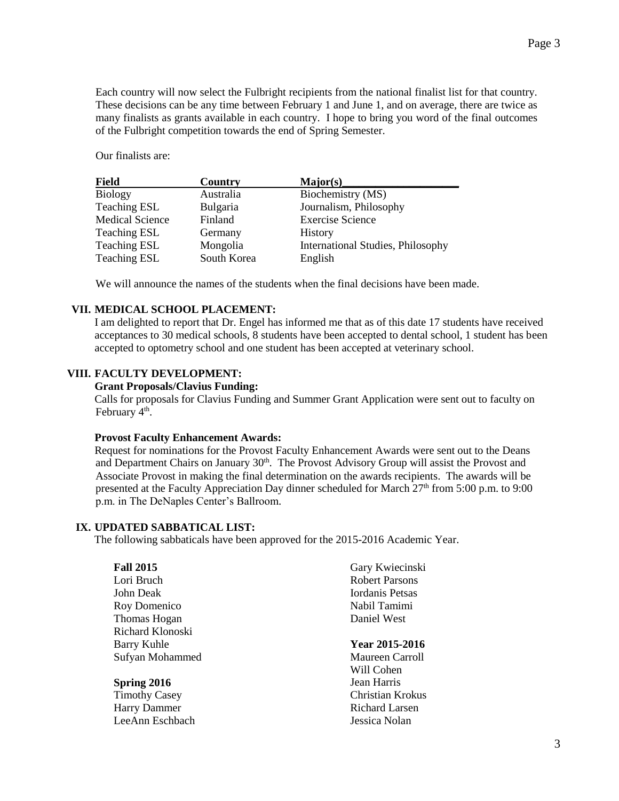Each country will now select the Fulbright recipients from the national finalist list for that country. These decisions can be any time between February 1 and June 1, and on average, there are twice as many finalists as grants available in each country. I hope to bring you word of the final outcomes of the Fulbright competition towards the end of Spring Semester.

Our finalists are:

| <b>Field</b>           | Country     | Major(s)                                 |
|------------------------|-------------|------------------------------------------|
| <b>Biology</b>         | Australia   | Biochemistry (MS)                        |
| <b>Teaching ESL</b>    | Bulgaria    | Journalism, Philosophy                   |
| <b>Medical Science</b> | Finland     | <b>Exercise Science</b>                  |
| <b>Teaching ESL</b>    | Germany     | <b>History</b>                           |
| Teaching ESL           | Mongolia    | <b>International Studies, Philosophy</b> |
| <b>Teaching ESL</b>    | South Korea | English                                  |

We will announce the names of the students when the final decisions have been made.

## **VII. MEDICAL SCHOOL PLACEMENT:**

I am delighted to report that Dr. Engel has informed me that as of this date 17 students have received acceptances to 30 medical schools, 8 students have been accepted to dental school, 1 student has been accepted to optometry school and one student has been accepted at veterinary school.

## **VIII. FACULTY DEVELOPMENT:**

#### **Grant Proposals/Clavius Funding:**

Calls for proposals for Clavius Funding and Summer Grant Application were sent out to faculty on February 4<sup>th</sup>.

## **Provost Faculty Enhancement Awards:**

Request for nominations for the Provost Faculty Enhancement Awards were sent out to the Deans and Department Chairs on January 30<sup>th</sup>. The Provost Advisory Group will assist the Provost and Associate Provost in making the final determination on the awards recipients. The awards will be presented at the Faculty Appreciation Day dinner scheduled for March  $27<sup>th</sup>$  from 5:00 p.m. to 9:00 p.m. in The DeNaples Center's Ballroom.

## **IX. UPDATED SABBATICAL LIST:**

The following sabbaticals have been approved for the 2015-2016 Academic Year.

| <b>Fall 2015</b>     | Gary Kwiecinski       |
|----------------------|-----------------------|
| Lori Bruch           | <b>Robert Parsons</b> |
| John Deak            | Iordanis Petsas       |
| Roy Domenico         | Nabil Tamimi          |
| Thomas Hogan         | Daniel West           |
| Richard Klonoski     |                       |
| Barry Kuhle          | Year 2015-2016        |
| Sufyan Mohammed      | Maureen Carroll       |
|                      | Will Cohen            |
| Spring 2016          | Jean Harris           |
| <b>Timothy Casey</b> | Christian Krokus      |
| <b>Harry Dammer</b>  | Richard Larsen        |
| LeeAnn Eschbach      | Jessica Nolan         |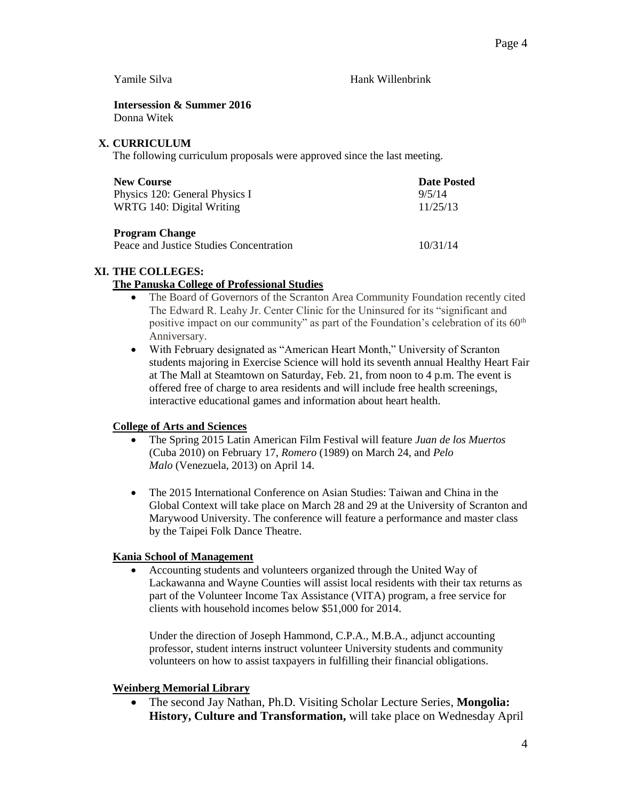Yamile Silva **Hank Willenbrink** 

**Intersession & Summer 2016** Donna Witek

## **X. CURRICULUM**

The following curriculum proposals were approved since the last meeting.

| <b>New Course</b>              | <b>Date Posted</b> |
|--------------------------------|--------------------|
| Physics 120: General Physics I | 9/5/14             |
| WRTG 140: Digital Writing      | 11/25/13           |
| <b>Program Change</b>          |                    |

Peace and Justice Studies Concentration 10/31/14

# **XI. THE COLLEGES:**

# **The Panuska College of Professional Studies**

- The Board of Governors of the Scranton Area Community Foundation recently cited The Edward R. Leahy Jr. Center Clinic for the Uninsured for its "significant and positive impact on our community" as part of the Foundation's celebration of its 60<sup>th</sup> Anniversary.
- With February designated as "American Heart Month," University of Scranton students majoring in Exercise Science will hold its seventh annual Healthy Heart Fair at The Mall at Steamtown on Saturday, Feb. 21, from noon to 4 p.m. The event is offered free of charge to area residents and will include free health screenings, interactive educational games and information about heart health.

# **College of Arts and Sciences**

- The Spring 2015 Latin American Film Festival will feature *Juan de los Muertos* (Cuba 2010) on February 17, *Romero* (1989) on March 24, and *Pelo Malo* (Venezuela, 2013) on April 14.
- The 2015 International Conference on Asian Studies: Taiwan and China in the Global Context will take place on March 28 and 29 at the University of Scranton and Marywood University. The conference will feature a performance and master class by the Taipei Folk Dance Theatre.

# **Kania School of Management**

 Accounting students and volunteers organized through the United Way of Lackawanna and Wayne Counties will assist local residents with their tax returns as part of the Volunteer Income Tax Assistance (VITA) program, a free service for clients with household incomes below \$51,000 for 2014.

Under the direction of Joseph Hammond, C.P.A., M.B.A., adjunct accounting professor, student interns instruct volunteer University students and community volunteers on how to assist taxpayers in fulfilling their financial obligations.

# **Weinberg Memorial Library**

 The second Jay Nathan, Ph.D. Visiting Scholar Lecture Series, **Mongolia: History, Culture and Transformation,** will take place on Wednesday April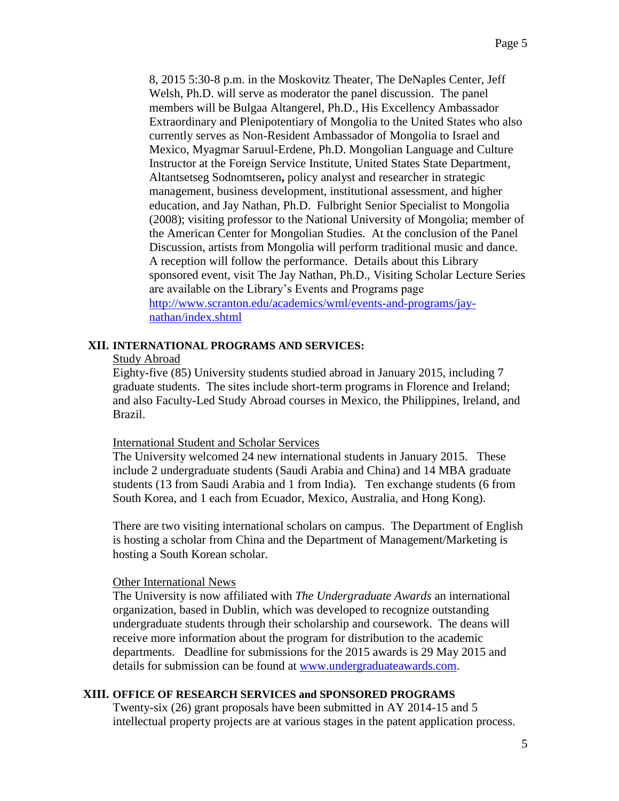8, 2015 5:30-8 p.m. in the Moskovitz Theater, The DeNaples Center, Jeff Welsh, Ph.D. will serve as moderator the panel discussion. The panel members will be Bulgaa Altangerel, Ph.D., His Excellency Ambassador Extraordinary and Plenipotentiary of Mongolia to the United States who also currently serves as Non-Resident Ambassador of Mongolia to Israel and Mexico, Myagmar Saruul-Erdene, Ph.D. Mongolian Language and Culture Instructor at the Foreign Service Institute, United States State Department, Altantsetseg Sodnomtseren**,** policy analyst and researcher in strategic management, business development, institutional assessment, and higher education, and Jay Nathan, Ph.D. Fulbright Senior Specialist to Mongolia (2008); visiting professor to the National University of Mongolia; member of the American Center for Mongolian Studies. At the conclusion of the Panel Discussion, artists from Mongolia will perform traditional music and dance. A reception will follow the performance. Details about this Library sponsored event, visit The Jay Nathan, Ph.D., Visiting Scholar Lecture Series are available on the Library's Events and Programs page [http://www.scranton.edu/academics/wml/events-and-programs/jay](http://www.scranton.edu/academics/wml/events-and-programs/jay-nathan/index.shtml)[nathan/index.shtml](http://www.scranton.edu/academics/wml/events-and-programs/jay-nathan/index.shtml)

## **XII. INTERNATIONAL PROGRAMS AND SERVICES:**

## Study Abroad

Eighty-five (85) University students studied abroad in January 2015, including 7 graduate students. The sites include short-term programs in Florence and Ireland; and also Faculty-Led Study Abroad courses in Mexico, the Philippines, Ireland, and Brazil.

## International Student and Scholar Services

The University welcomed 24 new international students in January 2015. These include 2 undergraduate students (Saudi Arabia and China) and 14 MBA graduate students (13 from Saudi Arabia and 1 from India). Ten exchange students (6 from South Korea, and 1 each from Ecuador, Mexico, Australia, and Hong Kong).

There are two visiting international scholars on campus. The Department of English is hosting a scholar from China and the Department of Management/Marketing is hosting a South Korean scholar.

# Other International News

The University is now affiliated with *The Undergraduate Awards* an international organization, based in Dublin, which was developed to recognize outstanding undergraduate students through their scholarship and coursework. The deans will receive more information about the program for distribution to the academic departments. Deadline for submissions for the 2015 awards is 29 May 2015 and details for submission can be found at [www.undergraduateawards.com.](http://www.undergraduateawards.com/)

# **XIII. OFFICE OF RESEARCH SERVICES and SPONSORED PROGRAMS**

Twenty-six (26) grant proposals have been submitted in AY 2014-15 and 5 intellectual property projects are at various stages in the patent application process.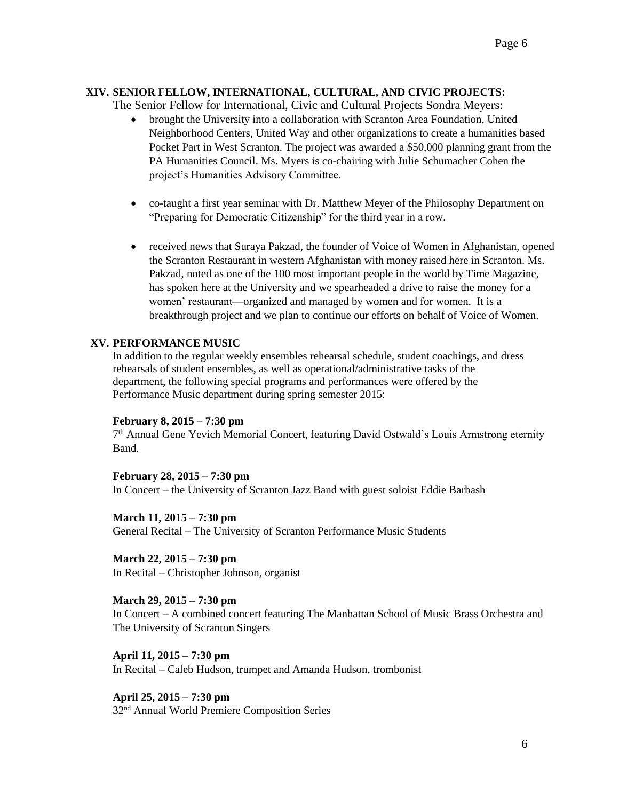# **XIV. SENIOR FELLOW, INTERNATIONAL, CULTURAL, AND CIVIC PROJECTS:**

The Senior Fellow for International, Civic and Cultural Projects Sondra Meyers:

- brought the University into a collaboration with Scranton Area Foundation, United Neighborhood Centers, United Way and other organizations to create a humanities based Pocket Part in West Scranton. The project was awarded a \$50,000 planning grant from the PA Humanities Council. Ms. Myers is co-chairing with Julie Schumacher Cohen the project's Humanities Advisory Committee.
- co-taught a first year seminar with Dr. Matthew Meyer of the Philosophy Department on "Preparing for Democratic Citizenship" for the third year in a row.
- received news that Suraya Pakzad, the founder of Voice of Women in Afghanistan, opened the Scranton Restaurant in western Afghanistan with money raised here in Scranton. Ms. Pakzad, noted as one of the 100 most important people in the world by Time Magazine, has spoken here at the University and we spearheaded a drive to raise the money for a women' restaurant—organized and managed by women and for women. It is a breakthrough project and we plan to continue our efforts on behalf of Voice of Women.

## **XV. PERFORMANCE MUSIC**

In addition to the regular weekly ensembles rehearsal schedule, student coachings, and dress rehearsals of student ensembles, as well as operational/administrative tasks of the department, the following special programs and performances were offered by the Performance Music department during spring semester 2015:

## **February 8, 2015 – 7:30 pm**

7<sup>th</sup> Annual Gene Yevich Memorial Concert, featuring David Ostwald's Louis Armstrong eternity Band.

## **February 28, 2015 – 7:30 pm**

In Concert – the University of Scranton Jazz Band with guest soloist Eddie Barbash

**March 11, 2015 – 7:30 pm** General Recital – The University of Scranton Performance Music Students

**March 22, 2015 – 7:30 pm** In Recital – Christopher Johnson, organist

**March 29, 2015 – 7:30 pm**

In Concert – A combined concert featuring The Manhattan School of Music Brass Orchestra and The University of Scranton Singers

**April 11, 2015 – 7:30 pm** In Recital – Caleb Hudson, trumpet and Amanda Hudson, trombonist

**April 25, 2015 – 7:30 pm** 32nd Annual World Premiere Composition Series